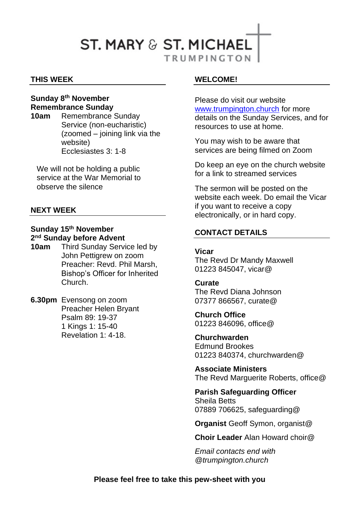# **ST. MARY & ST. MICHAEL TRUMPINGTON**

#### **THIS WEEK**

## **Sunday 8th November Remembrance Sunday**

**10am** Remembrance Sunday Service (non-eucharistic) (zoomed – joining link via the website) Ecclesiastes 3: 1-8

We will not be holding a public service at the War Memorial to observe the silence

#### **NEXT WEEK**

#### **Sunday 15th November 2 nd Sunday before Advent**

- **10am** Third Sunday Service led by John Pettigrew on zoom Preacher: Revd. Phil Marsh, Bishop's Officer for Inherited Church.
- **6.30pm** Evensong on zoom Preacher Helen Bryant Psalm 89: 19-37 1 Kings 1: 15-40 Revelation 1: 4-18.

#### **WELCOME!**

Please do visit our website [www.trumpington.church](http://www.trumpington.church/) for more details on the Sunday Services, and for resources to use at home.

You may wish to be aware that services are being filmed on Zoom

Do keep an eye on the church website for a link to streamed services

The sermon will be posted on the website each week. Do email the Vicar if you want to receive a copy electronically, or in hard copy.

### **CONTACT DETAILS**

#### **Vicar**

The Revd Dr Mandy Maxwell 01223 845047, vicar@

#### **Curate**

The Revd Diana Johnson 07377 866567, curate@

**Church Office**  01223 846096, office@

**Churchwarden** Edmund Brookes 01223 840374, churchwarden@

**Associate Ministers** The Revd Marguerite Roberts, office@

**Parish Safeguarding Officer** Sheila Betts 07889 706625, safeguarding@

**Organist** Geoff Symon, organist@

**Choir Leader** Alan Howard choir@

*Email contacts end with @trumpington.church*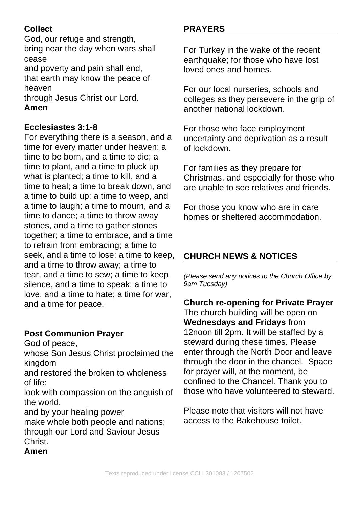## **Collect**

God, our refuge and strength, bring near the day when wars shall cease

and poverty and pain shall end, that earth may know the peace of heaven

through Jesus Christ our Lord. **Amen**

## **Ecclesiastes 3:1-8**

For everything there is a season, and a time for every matter under heaven: a time to be born, and a time to die; a time to plant, and a time to pluck up what is planted; a time to kill, and a time to heal; a time to break down, and a time to build up; a time to weep, and a time to laugh; a time to mourn, and a time to dance; a time to throw away stones, and a time to gather stones together; a time to embrace, and a time to refrain from embracing; a time to seek, and a time to lose; a time to keep, and a time to throw away; a time to tear, and a time to sew; a time to keep silence, and a time to speak; a time to love, and a time to hate; a time for war, and a time for peace.

## **Post Communion Prayer**

God of peace,

whose Son Jesus Christ proclaimed the kingdom

and restored the broken to wholeness of life:

look with compassion on the anguish of the world,

and by your healing power

make whole both people and nations; through our Lord and Saviour Jesus Christ.

## **Amen**

## **PRAYERS**

For Turkey in the wake of the recent earthquake; for those who have lost loved ones and homes.

For our local nurseries, schools and colleges as they persevere in the grip of another national lockdown.

For those who face employment uncertainty and deprivation as a result of lockdown.

For families as they prepare for Christmas, and especially for those who are unable to see relatives and friends.

For those you know who are in care homes or sheltered accommodation.

## **CHURCH NEWS & NOTICES**

*(Please send any notices to the Church Office by 9am Tuesday)*

**Church re-opening for Private Prayer** The church building will be open on **Wednesdays and Fridays** from 12noon till 2pm. It will be staffed by a steward during these times. Please enter through the North Door and leave through the door in the chancel. Space for prayer will, at the moment, be confined to the Chancel. Thank you to those who have volunteered to steward.

Please note that visitors will not have access to the Bakehouse toilet.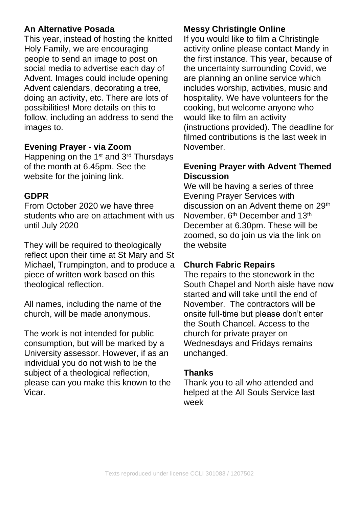### **An Alternative Posada**

This year, instead of hosting the knitted Holy Family, we are encouraging people to send an image to post on social media to advertise each day of Advent. Images could include opening Advent calendars, decorating a tree, doing an activity, etc. There are lots of possibilities! More details on this to follow, including an address to send the images to.

## **Evening Prayer - via Zoom**

Happening on the 1<sup>st</sup> and 3<sup>rd</sup> Thursdays of the month at 6.45pm. See the website for the joining link.

### **GDPR**

From October 2020 we have three students who are on attachment with us until July 2020

They will be required to theologically reflect upon their time at St Mary and St Michael, Trumpington, and to produce a piece of written work based on this theological reflection.

All names, including the name of the church, will be made anonymous.

The work is not intended for public consumption, but will be marked by a University assessor. However, if as an individual you do not wish to be the subject of a theological reflection, please can you make this known to the Vicar.

## **Messy Christingle Online**

If you would like to film a Christingle activity online please contact Mandy in the first instance. This year, because of the uncertainty surrounding Covid, we are planning an online service which includes worship, activities, music and hospitality. We have volunteers for the cooking, but welcome anyone who would like to film an activity (instructions provided). The deadline for filmed contributions is the last week in November.

### **Evening Prayer with Advent Themed Discussion**

We will be having a series of three Evening Prayer Services with discussion on an Advent theme on 29<sup>th</sup> November, 6<sup>th</sup> December and 13<sup>th</sup> December at 6.30pm. These will be zoomed, so do join us via the link on the website

### **Church Fabric Repairs**

The repairs to the stonework in the South Chapel and North aisle have now started and will take until the end of November. The contractors will be onsite full-time but please don't enter the South Chancel. Access to the church for private prayer on Wednesdays and Fridays remains unchanged.

### **Thanks**

Thank you to all who attended and helped at the All Souls Service last week